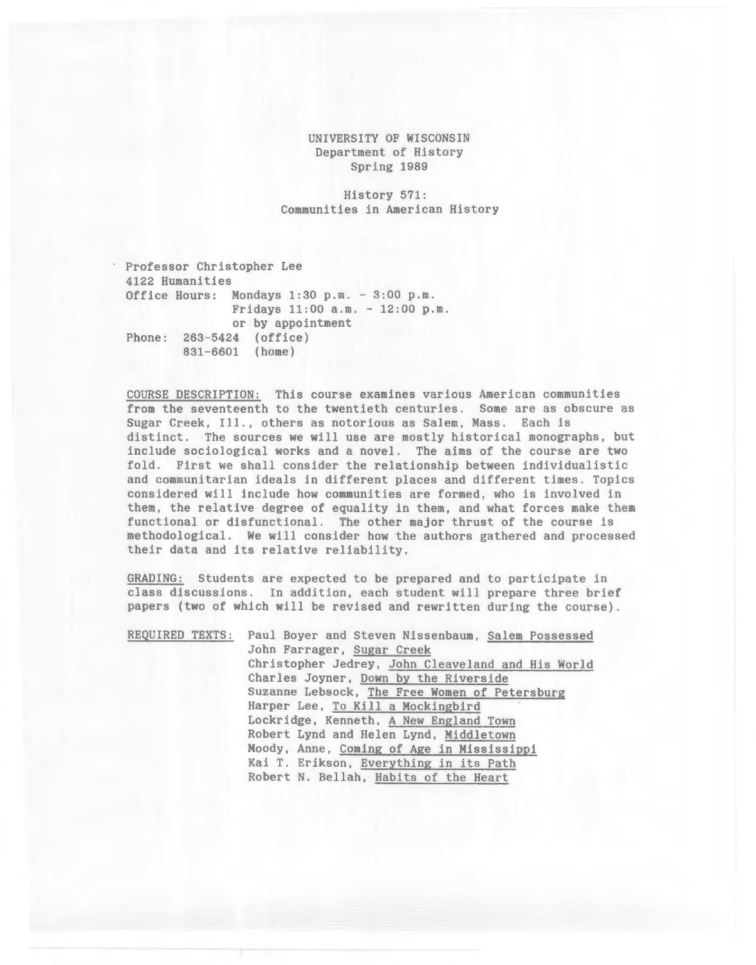#### UNIVERSITY OF WISCONSIN Department of History Spring 1989

History 571: Communities in American History

Professor Christopher Lee 4122 Humanities Office Hours: Mondays 1:30 p.m. - 3:00 p.m. Fridays 11:00 a.m. - 12:00 p.m. or by appointment Phone: 263-5424 (office) 831-6601 (home)

COURSE DESCRIPTION: This course examines various American communities from the seventeenth to the twentieth centuries. Some are as obscure as Sugar Creek, Ill., others as notorious as Salem, Mass. Each is distinct. The sources we will use are mostly historical monographs, but include sociological works and a novel. The aims of the course are two fold. First we shall consider the relationship between individualistic and communitarian ideals in different places and different times. Topics considered will include how communities are formed, who is involved in them, the relative degree of equality in them, and what forces make them functional or disfunctional. The other major thrust of the course is methodological. We will consider how the authors gathered and processed their data and its relative reliability.

GRADING: Students are expected to be prepared and to participate in class discussions. In addition, each student will prepare three brief papers (two of which will be revised and rewritten during the course) .

|  | REQUIRED TEXTS: Paul Boyer and Steven Nissenbaum, Salem Possessed |
|--|-------------------------------------------------------------------|
|  | John Farrager, Sugar Creek                                        |
|  | Christopher Jedrey, John Cleaveland and His World                 |
|  | Charles Joyner, Down by the Riverside                             |
|  | Suzanne Lebsock, The Free Women of Petersburg                     |
|  | Harper Lee, To Kill a Mockingbird                                 |
|  | Lockridge, Kenneth, A New England Town                            |
|  | Robert Lynd and Helen Lynd, Middletown                            |
|  | Moody, Anne, Coming of Age in Mississippi                         |
|  | Kai T. Erikson, Everything in its Path                            |
|  | Robert N. Bellah, Habits of the Heart                             |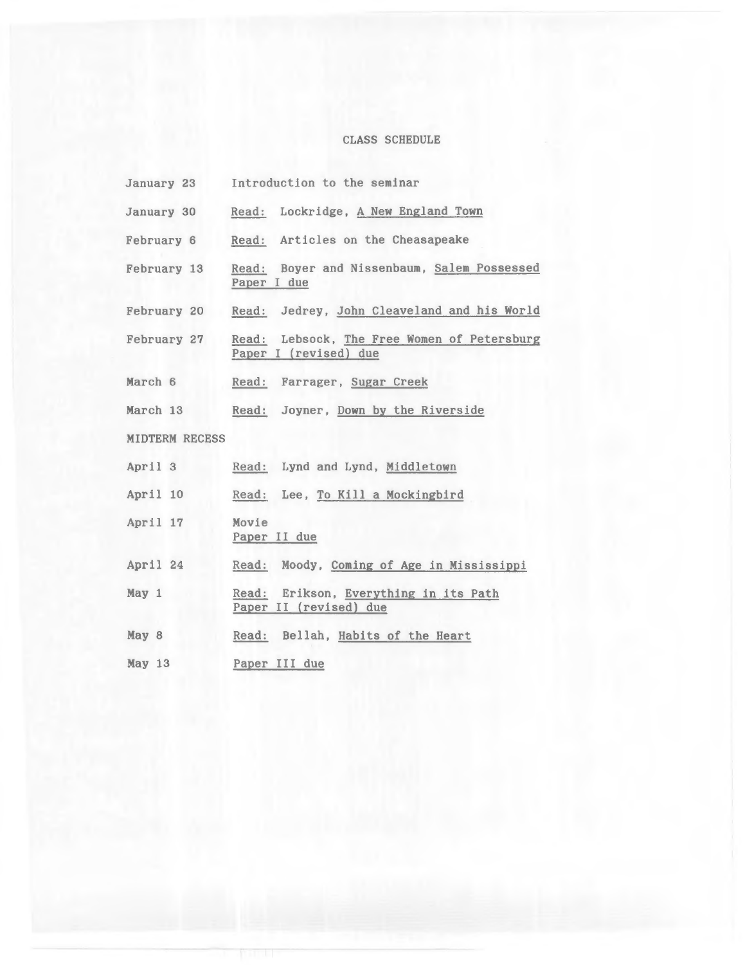# CLASS SCHEDULE

| January 23            | Introduction to the seminar                                          |
|-----------------------|----------------------------------------------------------------------|
| January 30            | Read: Lockridge, A New England Town                                  |
| February 6            | Read: Articles on the Cheasapeake                                    |
| February 13           | Read: Boyer and Nissenbaum, Salem Possessed<br>Paper I due           |
| February 20           | Read: Jedrey, John Cleaveland and his World                          |
| <b>February 27</b>    | Read: Lebsock, The Free Women of Petersburg<br>Paper I (revised) due |
| March 6               | Read: Farrager, Sugar Creek                                          |
| March 13              | Read: Joyner, Down by the Riverside                                  |
| <b>MIDTERM RECESS</b> |                                                                      |
| April 3               | Read: Lynd and Lynd, Middletown                                      |
| April 10              | Read: Lee, To Kill a Mockingbird                                     |
| April 17              | Movie<br>Paper II due                                                |
| April 24              | Read: Moody, Coming of Age in Mississippi                            |
| May 1                 | Read: Erikson, Everything in its Path<br>Paper II (revised) due      |
| May 8                 | Read: Bellah, Habits of the Heart                                    |
| May 13                | Paper III due                                                        |

r r